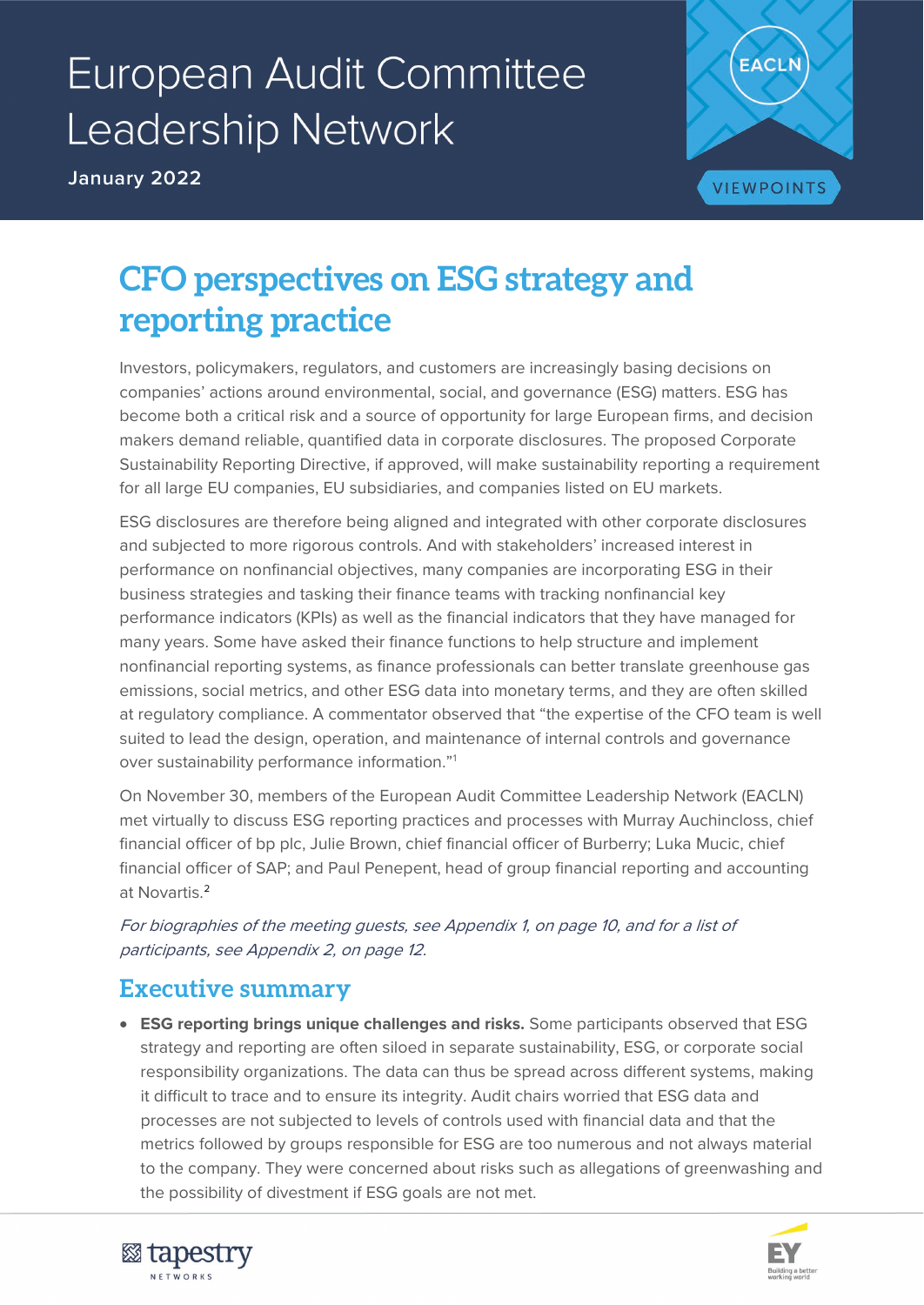# **European Audit Committee** Leadership Network

**January 2022**



# **CFO perspectives on ESG strategy and reporting practice**

Investors, policymakers, regulators, and customers are increasingly basing decisions on companies' actions around environmental, social, and governance (ESG) matters. ESG has become both a critical risk and a source of opportunity for large European firms, and decision makers demand reliable, quantified data in corporate disclosures. The proposed Corporate Sustainability Reporting Directive, if approved, will make sustainability reporting a requirement for all large EU companies, EU subsidiaries, and companies listed on EU markets.

ESG disclosures are therefore being aligned and integrated with other corporate disclosures and subjected to more rigorous controls. And with stakeholders' increased interest in performance on nonfinancial objectives, many companies are incorporating ESG in their business strategies and tasking their finance teams with tracking nonfinancial key performance indicators (KPIs) as well as the financial indicators that they have managed for many years. Some have asked their finance functions to help structure and implement nonfinancial reporting systems, as finance professionals can better translate greenhouse gas emissions, social metrics, and other ESG data into monetary terms, and they are often skilled at regulatory compliance. A commentator observed that "the expertise of the CFO team is well suited to lead the design, operation, and maintenance of internal controls and governance over sustainability performance information."[1](#page-13-0)

On November 30, members of the European Audit Committee Leadership Network (EACLN) met virtually to discuss ESG reporting practices and processes with Murray Auchincloss, chief financial officer of bp plc, Julie Brown, chief financial officer of Burberry; Luka Mucic, chief financial officer of SAP; and Paul Penepent, head of group financial reporting and accounting at Novartis.[2](#page-13-1)

For biographies of the meeting guests, see Appendix 1, on page 10, and for a list of participants, see Appendix 2, on page 12.

# **Executive summary**

• **ESG reporting brings unique challenges and risks.** Some participants observed that ESG strategy and reporting are often siloed in separate sustainability, ESG, or corporate social responsibility organizations. The data can thus be spread across different systems, making it difficult to trace and to ensure its integrity. Audit chairs worried that ESG data and processes are not subjected to levels of controls used with financial data and that the metrics followed by groups responsible for ESG are too numerous and not always material to the company. They were concerned about risks such as allegations of greenwashing and the possibility of divestment if ESG goals are not met.



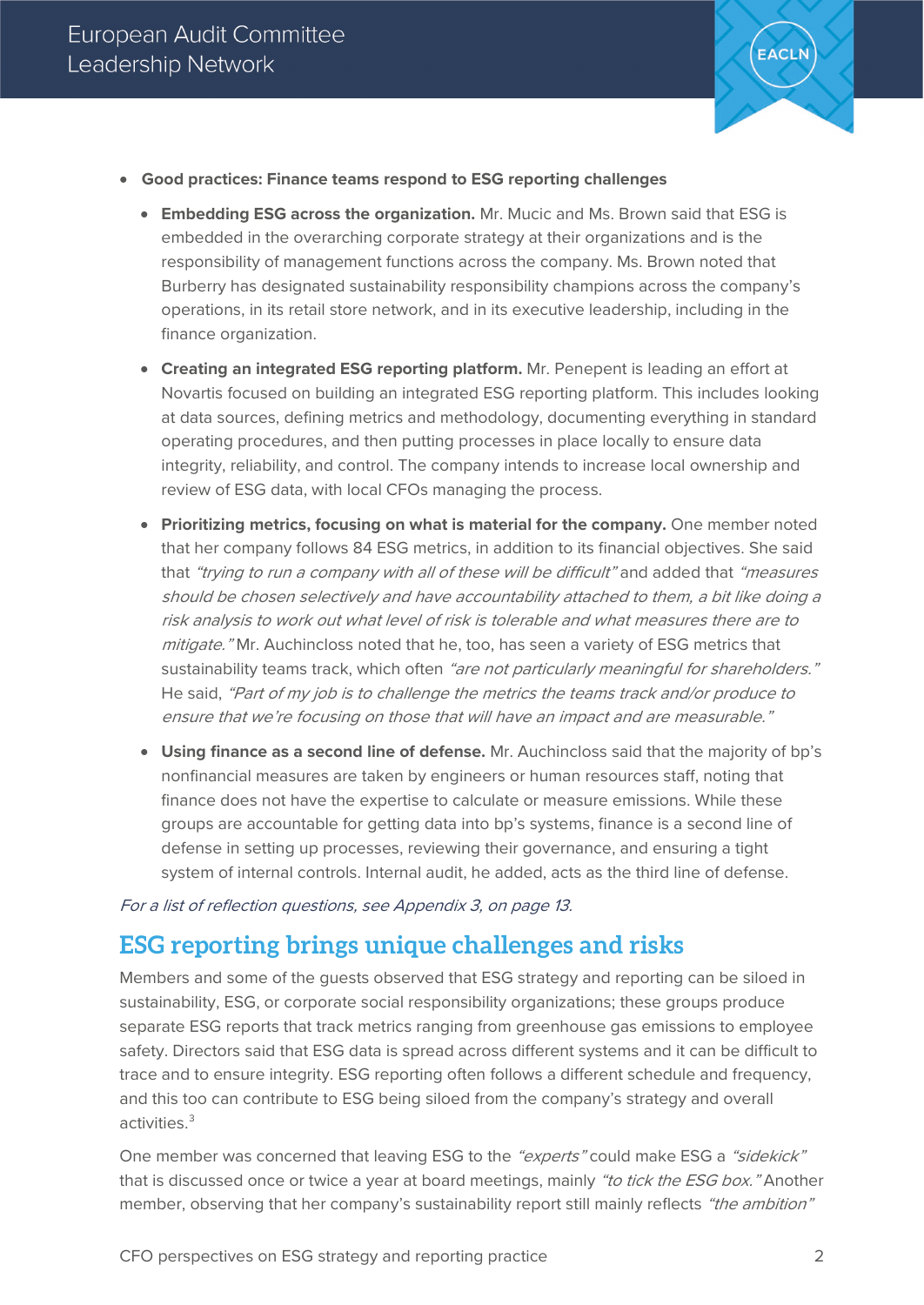

- **Good practices: Finance teams respond to ESG reporting challenges**
	- **Embedding ESG across the organization.** Mr. Mucic and Ms. Brown said that ESG is embedded in the overarching corporate strategy at their organizations and is the responsibility of management functions across the company. Ms. Brown noted that Burberry has designated sustainability responsibility champions across the company's operations, in its retail store network, and in its executive leadership, including in the finance organization.
	- **Creating an integrated ESG reporting platform.** Mr. Penepent is leading an effort at Novartis focused on building an integrated ESG reporting platform. This includes looking at data sources, defining metrics and methodology, documenting everything in standard operating procedures, and then putting processes in place locally to ensure data integrity, reliability, and control. The company intends to increase local ownership and review of ESG data, with local CFOs managing the process.
	- **Prioritizing metrics, focusing on what is material for the company.** One member noted that her company follows 84 ESG metrics, in addition to its financial objectives. She said that "trying to run a company with all of these will be difficult" and added that "measures" should be chosen selectively and have accountability attached to them, a bit like doing a risk analysis to work out what level of risk is tolerable and what measures there are to mitigate." Mr. Auchincloss noted that he, too, has seen a variety of ESG metrics that sustainability teams track, which often "are not particularly meaningful for shareholders." He said, "Part of my job is to challenge the metrics the teams track and/or produce to ensure that we're focusing on those that will have an impact and are measurable."
	- **Using finance as a second line of defense.** Mr. Auchincloss said that the majority of bp's nonfinancial measures are taken by engineers or human resources staff, noting that finance does not have the expertise to calculate or measure emissions. While these groups are accountable for getting data into bp's systems, finance is a second line of defense in setting up processes, reviewing their governance, and ensuring a tight system of internal controls. Internal audit, he added, acts as the third line of defense.

For a list of reflection questions, see Appendix 3, on page 13.

# **ESG reporting brings unique challenges and risks**

Members and some of the guests observed that ESG strategy and reporting can be siloed in sustainability, ESG, or corporate social responsibility organizations; these groups produce separate ESG reports that track metrics ranging from greenhouse gas emissions to employee safety. Directors said that ESG data is spread across different systems and it can be difficult to trace and to ensure integrity. ESG reporting often follows a different schedule and frequency, and this too can contribute to ESG being siloed from the company's strategy and overall activities.[3](#page-13-2)

One member was concerned that leaving ESG to the "experts" could make ESG a "sidekick" that is discussed once or twice a year at board meetings, mainly "to tick the ESG box." Another member, observing that her company's sustainability report still mainly reflects "the ambition"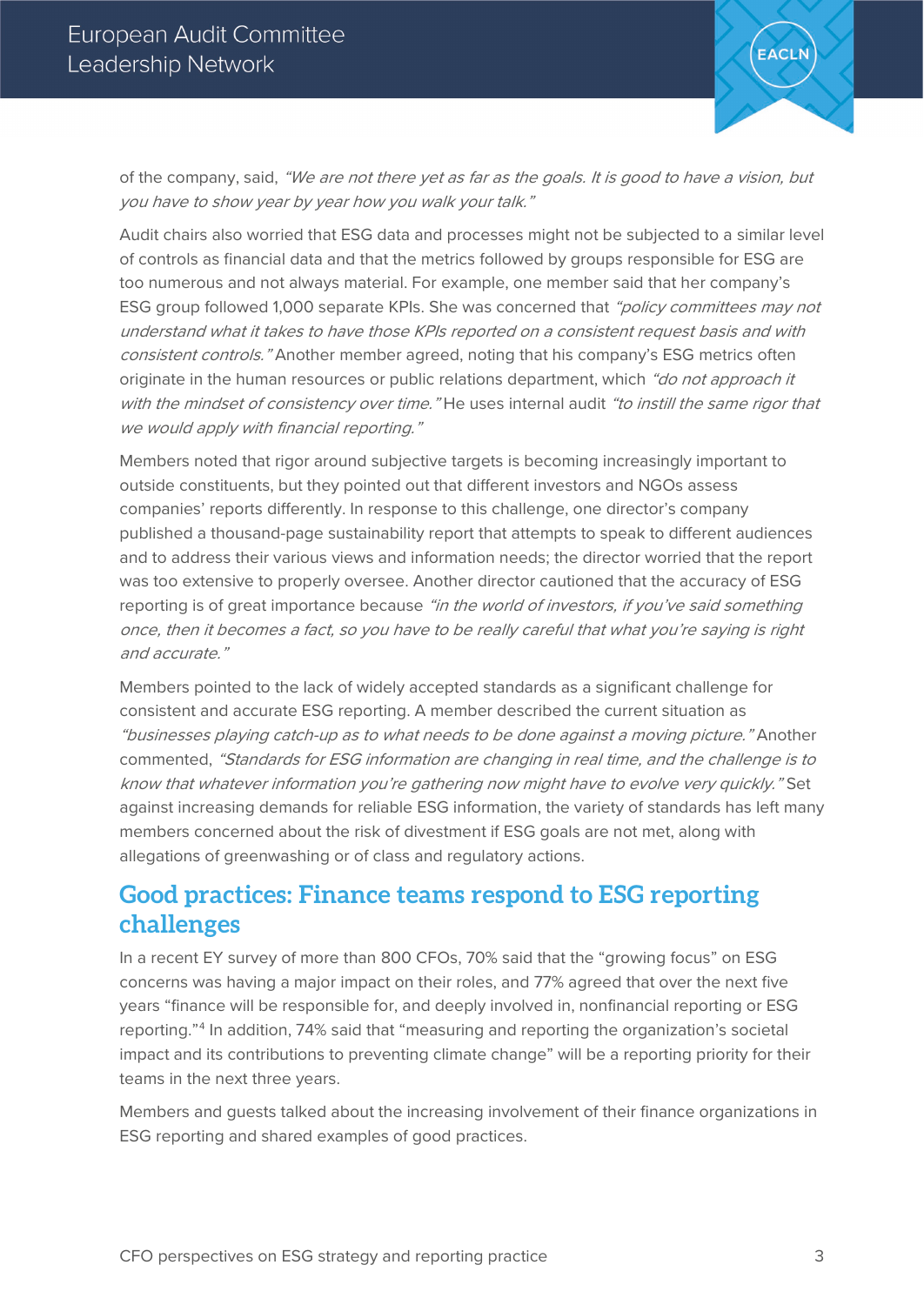

of the company, said, "We are not there yet as far as the goals. It is good to have a vision, but you have to show year by year how you walk your talk."

Audit chairs also worried that ESG data and processes might not be subjected to a similar level of controls as financial data and that the metrics followed by groups responsible for ESG are too numerous and not always material. For example, one member said that her company's ESG group followed 1,000 separate KPIs. She was concerned that "policy committees may not understand what it takes to have those KPIs reported on a consistent request basis and with consistent controls." Another member agreed, noting that his company's ESG metrics often originate in the human resources or public relations department, which "do not approach it with the mindset of consistency over time." He uses internal audit "to instill the same rigor that we would apply with financial reporting."

Members noted that rigor around subjective targets is becoming increasingly important to outside constituents, but they pointed out that different investors and NGOs assess companies' reports differently. In response to this challenge, one director's company published a thousand-page sustainability report that attempts to speak to different audiences and to address their various views and information needs; the director worried that the report was too extensive to properly oversee. Another director cautioned that the accuracy of ESG reporting is of great importance because "in the world of investors, if you've said something once, then it becomes a fact, so you have to be really careful that what you're saying is right and accurate."

Members pointed to the lack of widely accepted standards as a significant challenge for consistent and accurate ESG reporting. A member described the current situation as "businesses playing catch-up as to what needs to be done against a moving picture." Another commented, "Standards for ESG information are changing in real time, and the challenge is to know that whatever information you're gathering now might have to evolve very quickly." Set against increasing demands for reliable ESG information, the variety of standards has left many members concerned about the risk of divestment if ESG goals are not met, along with allegations of greenwashing or of class and regulatory actions.

# **Good practices: Finance teams respond to ESG reporting challenges**

In a recent EY survey of more than 800 CFOs, 70% said that the "growing focus" on ESG concerns was having a major impact on their roles, and 77% agreed that over the next five years "finance will be responsible for, and deeply involved in, nonfinancial reporting or ESG reporting."[4](#page-13-3) In addition, 74% said that "measuring and reporting the organization's societal impact and its contributions to preventing climate change" will be a reporting priority for their teams in the next three years.

Members and guests talked about the increasing involvement of their finance organizations in ESG reporting and shared examples of good practices.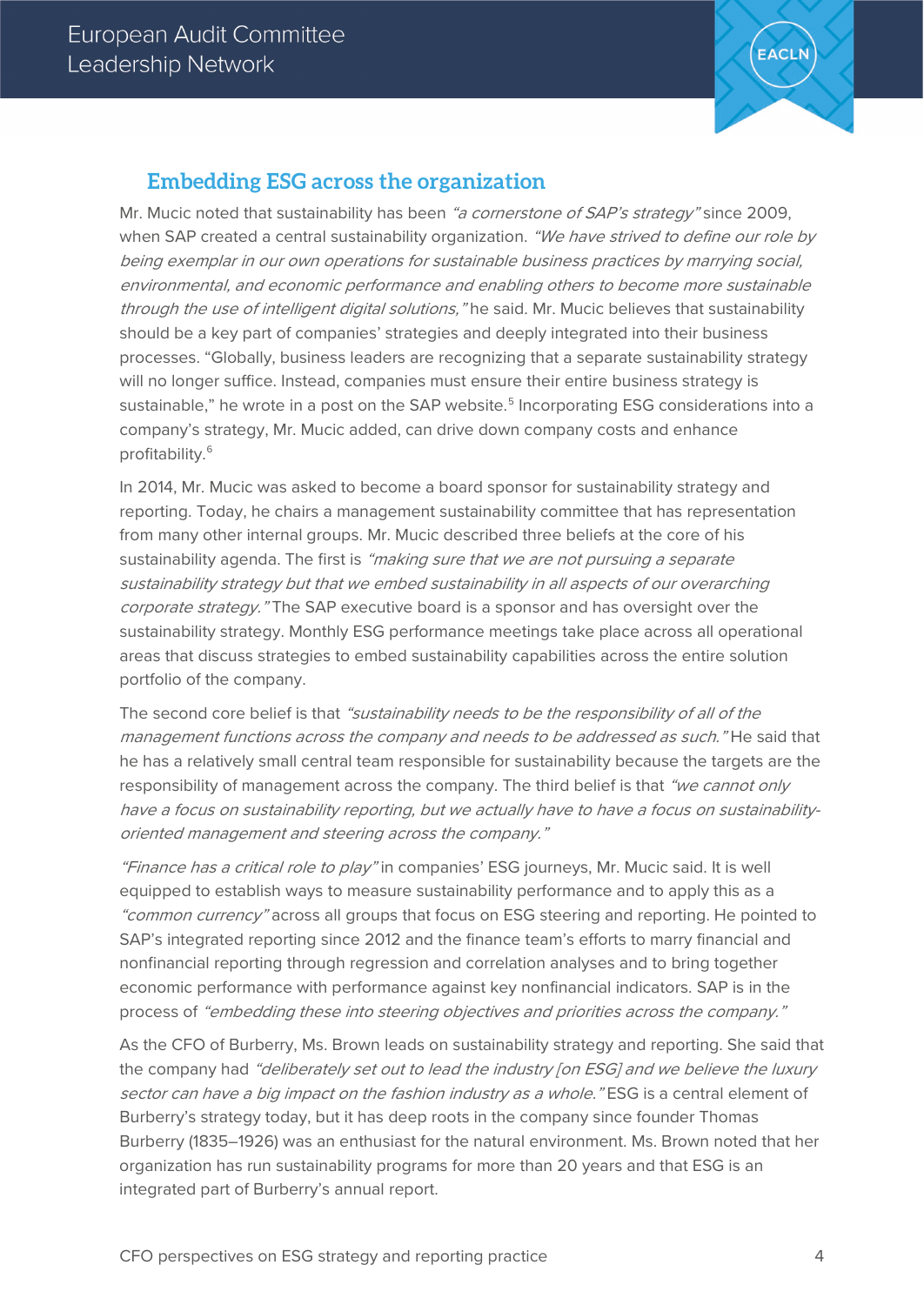

# **Embedding ESG across the organization**

Mr. Mucic noted that sustainability has been "a cornerstone of SAP's strategy" since 2009, when SAP created a central sustainability organization. "We have strived to define our role by being exemplar in our own operations for sustainable business practices by marrying social, environmental, and economic performance and enabling others to become more sustainable through the use of intelligent digital solutions," he said. Mr. Mucic believes that sustainability should be a key part of companies' strategies and deeply integrated into their business processes. "Globally, business leaders are recognizing that a separate sustainability strategy will no longer suffice. Instead, companies must ensure their entire business strategy is sustainable," he wrote in a post on the SAP website. [5](#page-13-4) Incorporating ESG considerations into a company's strategy, Mr. Mucic added, can drive down company costs and enhance profitability. [6](#page-13-5)

In 2014, Mr. Mucic was asked to become a board sponsor for sustainability strategy and reporting. Today, he chairs a management sustainability committee that has representation from many other internal groups. Mr. Mucic described three beliefs at the core of his sustainability agenda. The first is "making sure that we are not pursuing a separate sustainability strategy but that we embed sustainability in all aspects of our overarching corporate strategy. "The SAP executive board is a sponsor and has oversight over the sustainability strategy. Monthly ESG performance meetings take place across all operational areas that discuss strategies to embed sustainability capabilities across the entire solution portfolio of the company.

The second core belief is that "sustainability needs to be the responsibility of all of the management functions across the company and needs to be addressed as such." He said that he has a relatively small central team responsible for sustainability because the targets are the responsibility of management across the company. The third belief is that "we cannot only have a focus on sustainability reporting, but we actually have to have a focus on sustainabilityoriented management and steering across the company."

"Finance has a critical role to play" in companies' ESG journeys, Mr. Mucic said. It is well equipped to establish ways to measure sustainability performance and to apply this as a "common currency" across all groups that focus on ESG steering and reporting. He pointed to SAP's integrated reporting since 2012 and the finance team's efforts to marry financial and nonfinancial reporting through regression and correlation analyses and to bring together economic performance with performance against key nonfinancial indicators. SAP is in the process of "embedding these into steering objectives and priorities across the company."

As the CFO of Burberry, Ms. Brown leads on sustainability strategy and reporting. She said that the company had "deliberately set out to lead the industry [on ESG] and we believe the luxury sector can have a big impact on the fashion industry as a whole." ESG is a central element of Burberry's strategy today, but it has deep roots in the company since founder Thomas Burberry (1835–1926) was an enthusiast for the natural environment. Ms. Brown noted that her organization has run sustainability programs for more than 20 years and that ESG is an integrated part of Burberry's annual report.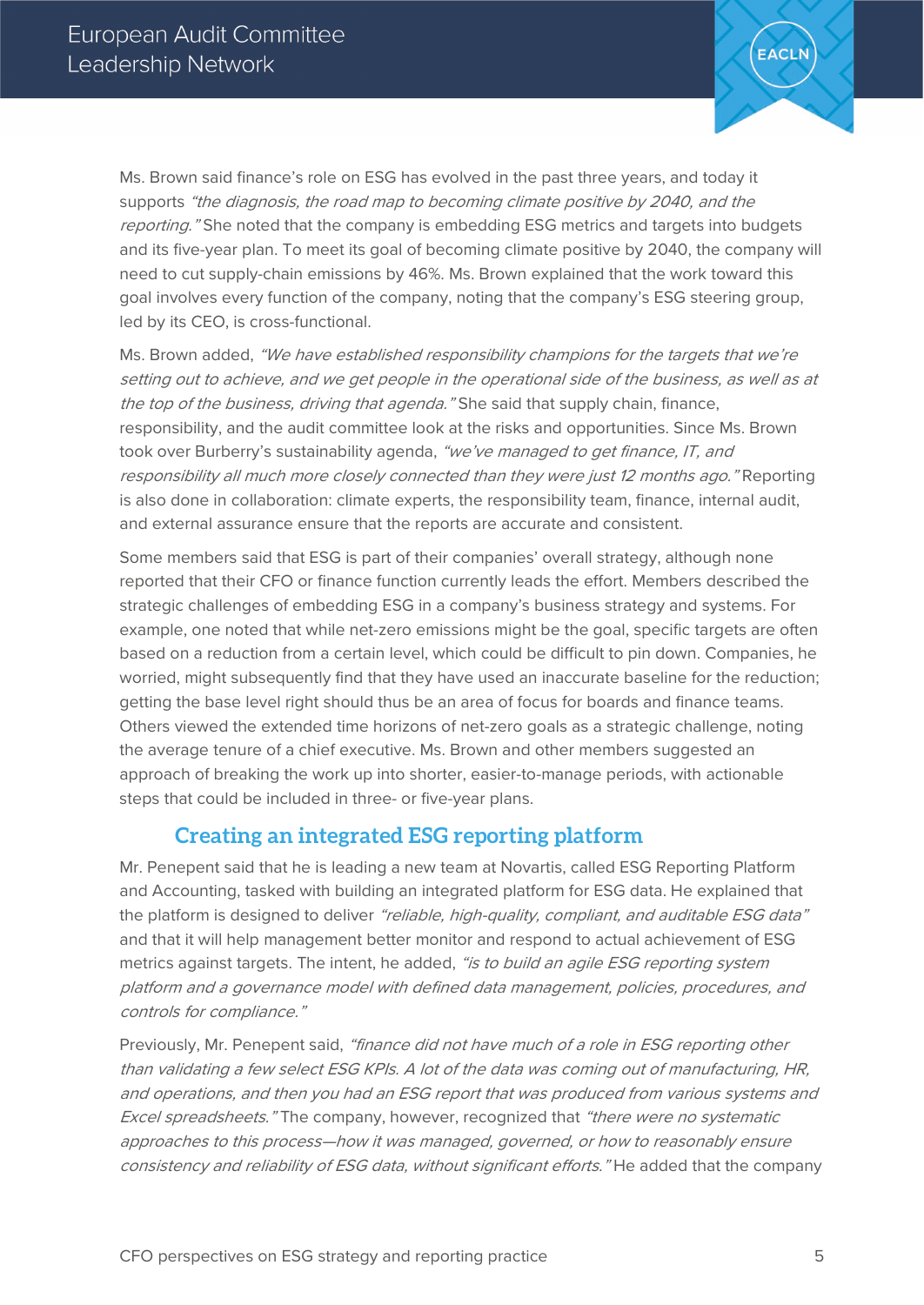

Ms. Brown said finance's role on ESG has evolved in the past three years, and today it supports "the diagnosis, the road map to becoming climate positive by 2040, and the reporting." She noted that the company is embedding ESG metrics and targets into budgets and its five-year plan. To meet its goal of becoming climate positive by 2040, the company will need to cut supply-chain emissions by 46%. Ms. Brown explained that the work toward this goal involves every function of the company, noting that the company's ESG steering group, led by its CEO, is cross-functional.

Ms. Brown added, "We have established responsibility champions for the targets that we're setting out to achieve, and we get people in the operational side of the business, as well as at the top of the business, driving that agenda." She said that supply chain, finance, responsibility, and the audit committee look at the risks and opportunities. Since Ms. Brown took over Burberry's sustainability agenda, "we've managed to get finance, IT, and responsibility all much more closely connected than they were just 12 months ago." Reporting is also done in collaboration: climate experts, the responsibility team, finance, internal audit, and external assurance ensure that the reports are accurate and consistent.

Some members said that ESG is part of their companies' overall strategy, although none reported that their CFO or finance function currently leads the effort. Members described the strategic challenges of embedding ESG in a company's business strategy and systems. For example, one noted that while net-zero emissions might be the goal, specific targets are often based on a reduction from a certain level, which could be difficult to pin down. Companies, he worried, might subsequently find that they have used an inaccurate baseline for the reduction; getting the base level right should thus be an area of focus for boards and finance teams. Others viewed the extended time horizons of net-zero goals as a strategic challenge, noting the average tenure of a chief executive. Ms. Brown and other members suggested an approach of breaking the work up into shorter, easier-to-manage periods, with actionable steps that could be included in three- or five-year plans.

#### **Creating an integrated ESG reporting platform**

Mr. Penepent said that he is leading a new team at Novartis, called ESG Reporting Platform and Accounting, tasked with building an integrated platform for ESG data. He explained that the platform is designed to deliver "reliable, high-quality, compliant, and auditable ESG data" and that it will help management better monitor and respond to actual achievement of ESG metrics against targets. The intent, he added, "is to build an agile ESG reporting system platform and a governance model with defined data management, policies, procedures, and controls for compliance."

Previously, Mr. Penepent said, "finance did not have much of a role in ESG reporting other than validating a few select ESG KPIs. A lot of the data was coming out of manufacturing, HR, and operations, and then you had an ESG report that was produced from various systems and Excel spreadsheets." The company, however, recognized that "there were no systematic approaches to this process—how it was managed, governed, or how to reasonably ensure consistency and reliability of ESG data, without significant efforts." He added that the company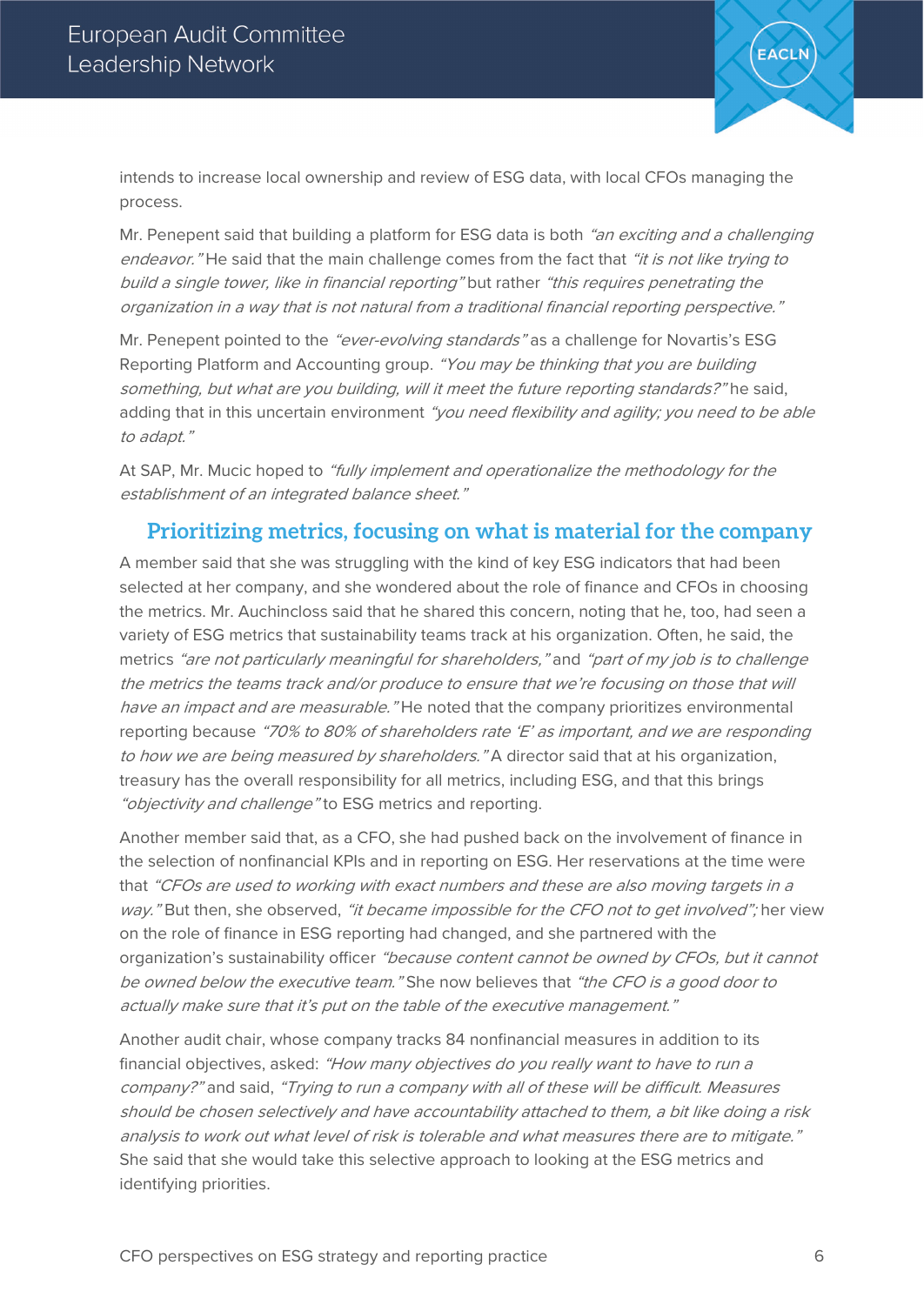

intends to increase local ownership and review of ESG data, with local CFOs managing the process.

Mr. Penepent said that building a platform for ESG data is both "an exciting and a challenging endeavor." He said that the main challenge comes from the fact that "it is not like trying to build a single tower, like in financial reporting" but rather "this requires penetrating the organization in a way that is not natural from a traditional financial reporting perspective."

Mr. Penepent pointed to the "ever-evolving standards" as a challenge for Novartis's ESG Reporting Platform and Accounting group. "You may be thinking that you are building something, but what are you building, will it meet the future reporting standards?" he said, adding that in this uncertain environment "you need flexibility and agility; you need to be able to adapt."

At SAP, Mr. Mucic hoped to "fully implement and operationalize the methodology for the establishment of an integrated balance sheet."

#### **Prioritizing metrics, focusing on what is material for the company**

A member said that she was struggling with the kind of key ESG indicators that had been selected at her company, and she wondered about the role of finance and CFOs in choosing the metrics. Mr. Auchincloss said that he shared this concern, noting that he, too, had seen a variety of ESG metrics that sustainability teams track at his organization. Often, he said, the metrics "are not particularly meaningful for shareholders," and "part of my job is to challenge the metrics the teams track and/or produce to ensure that we're focusing on those that will have an impact and are measurable." He noted that the company prioritizes environmental reporting because "70% to 80% of shareholders rate 'E' as important, and we are responding to how we are being measured by shareholders." A director said that at his organization, treasury has the overall responsibility for all metrics, including ESG, and that this brings "objectivity and challenge" to ESG metrics and reporting.

Another member said that, as a CFO, she had pushed back on the involvement of finance in the selection of nonfinancial KPIs and in reporting on ESG. Her reservations at the time were that "CFOs are used to working with exact numbers and these are also moving targets in a way." But then, she observed, "it became impossible for the CFO not to get involved"; her view on the role of finance in ESG reporting had changed, and she partnered with the organization's sustainability officer "because content cannot be owned by CFOs, but it cannot be owned below the executive team." She now believes that "the CFO is a good door to actually make sure that it's put on the table of the executive management."

Another audit chair, whose company tracks 84 nonfinancial measures in addition to its financial objectives, asked: "How many objectives do you really want to have to run a company?" and said, "Trying to run a company with all of these will be difficult. Measures should be chosen selectively and have accountability attached to them, a bit like doing a risk analysis to work out what level of risk is tolerable and what measures there are to mitigate." She said that she would take this selective approach to looking at the ESG metrics and identifying priorities.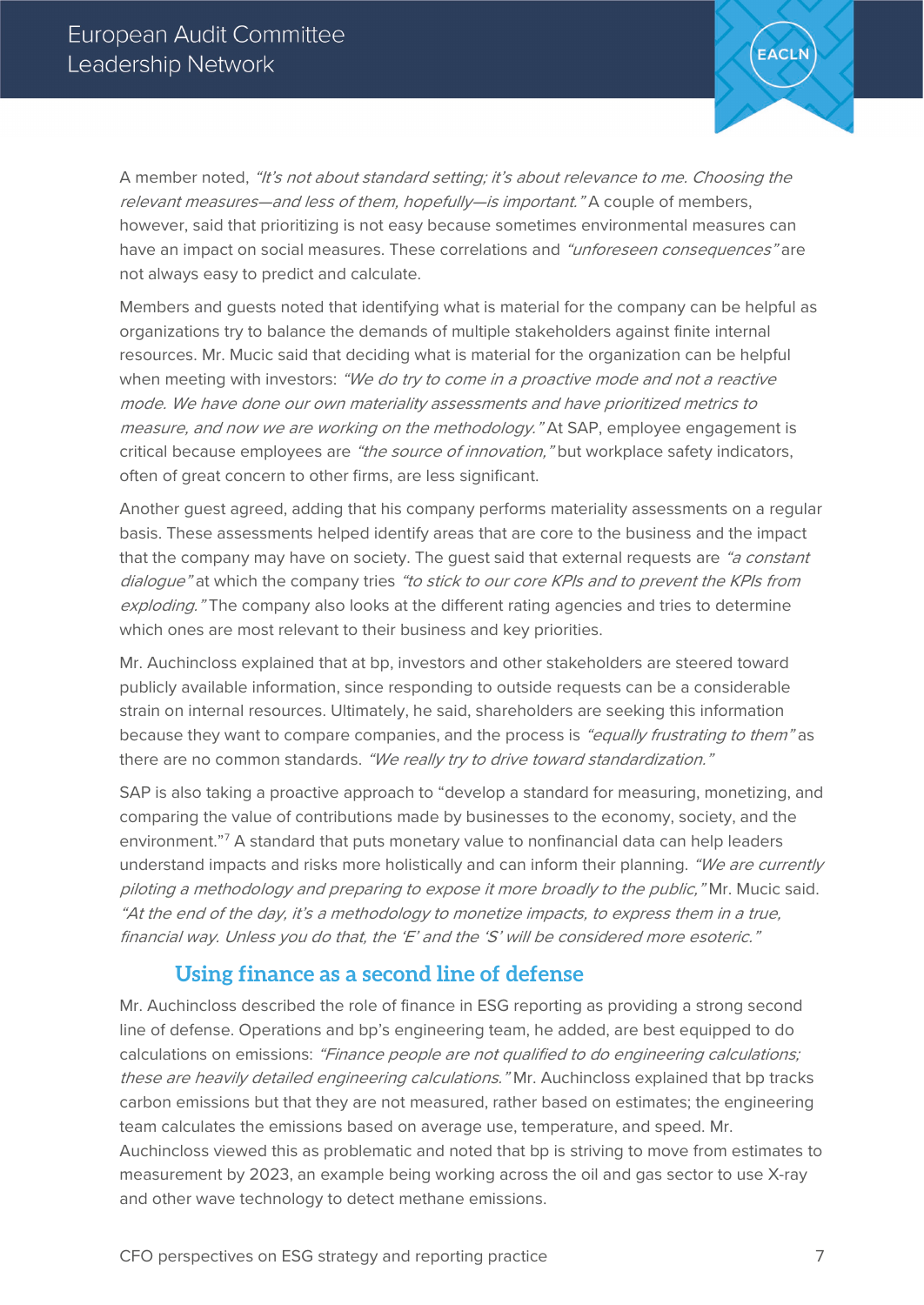

A member noted, "It's not about standard setting; it's about relevance to me. Choosing the relevant measures—and less of them, hopefully—is important." A couple of members, however, said that prioritizing is not easy because sometimes environmental measures can have an impact on social measures. These correlations and "unforeseen consequences" are not always easy to predict and calculate.

Members and guests noted that identifying what is material for the company can be helpful as organizations try to balance the demands of multiple stakeholders against finite internal resources. Mr. Mucic said that deciding what is material for the organization can be helpful when meeting with investors: "We do try to come in a proactive mode and not a reactive mode. We have done our own materiality assessments and have prioritized metrics to measure, and now we are working on the methodology." At SAP, employee engagement is critical because employees are "the source of innovation," but workplace safety indicators, often of great concern to other firms, are less significant.

Another guest agreed, adding that his company performs materiality assessments on a regular basis. These assessments helped identify areas that are core to the business and the impact that the company may have on society. The quest said that external requests are "a constant dialogue" at which the company tries "to stick to our core KPIs and to prevent the KPIs from exploding." The company also looks at the different rating agencies and tries to determine which ones are most relevant to their business and key priorities.

Mr. Auchincloss explained that at bp, investors and other stakeholders are steered toward publicly available information, since responding to outside requests can be a considerable strain on internal resources. Ultimately, he said, shareholders are seeking this information because they want to compare companies, and the process is "equally frustrating to them" as there are no common standards. "We really try to drive toward standardization."

SAP is also taking a proactive approach to "develop a standard for measuring, monetizing, and comparing the value of contributions made by businesses to the economy, society, and the environment."[7](#page-13-6) A standard that puts monetary value to nonfinancial data can help leaders understand impacts and risks more holistically and can inform their planning. "We are currently piloting a methodology and preparing to expose it more broadly to the public," Mr. Mucic said. "At the end of the day, it's a methodology to monetize impacts, to express them in a true, financial way. Unless you do that, the 'E' and the 'S' will be considered more esoteric."

#### **Using finance as a second line of defense**

Mr. Auchincloss described the role of finance in ESG reporting as providing a strong second line of defense. Operations and bp's engineering team, he added, are best equipped to do calculations on emissions: "Finance people are not qualified to do engineering calculations; these are heavily detailed engineering calculations." Mr. Auchincloss explained that bp tracks carbon emissions but that they are not measured, rather based on estimates; the engineering team calculates the emissions based on average use, temperature, and speed. Mr. Auchincloss viewed this as problematic and noted that bp is striving to move from estimates to measurement by 2023, an example being working across the oil and gas sector to use X-ray and other wave technology to detect methane emissions.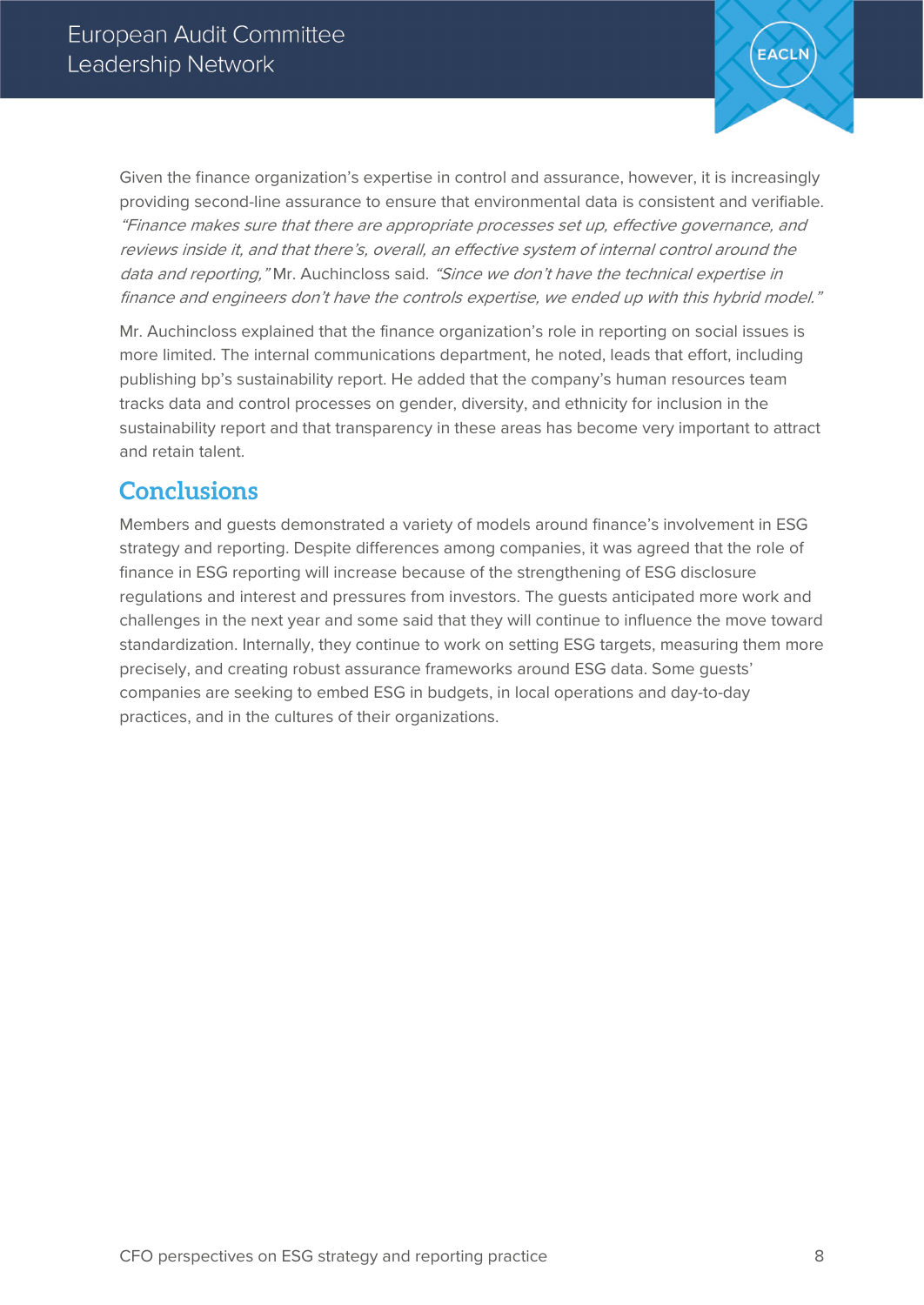

Given the finance organization's expertise in control and assurance, however, it is increasingly providing second-line assurance to ensure that environmental data is consistent and verifiable. "Finance makes sure that there are appropriate processes set up, effective governance, and reviews inside it, and that there's, overall, an effective system of internal control around the data and reporting," Mr. Auchincloss said. "Since we don't have the technical expertise in finance and engineers don't have the controls expertise, we ended up with this hybrid model."

Mr. Auchincloss explained that the finance organization's role in reporting on social issues is more limited. The internal communications department, he noted, leads that effort, including publishing bp's sustainability report. He added that the company's human resources team tracks data and control processes on gender, diversity, and ethnicity for inclusion in the sustainability report and that transparency in these areas has become very important to attract and retain talent.

# **Conclusions**

Members and guests demonstrated a variety of models around finance's involvement in ESG strategy and reporting. Despite differences among companies, it was agreed that the role of finance in ESG reporting will increase because of the strengthening of ESG disclosure regulations and interest and pressures from investors. The guests anticipated more work and challenges in the next year and some said that they will continue to influence the move toward standardization. Internally, they continue to work on setting ESG targets, measuring them more precisely, and creating robust assurance frameworks around ESG data. Some guests' companies are seeking to embed ESG in budgets, in local operations and day-to-day practices, and in the cultures of their organizations.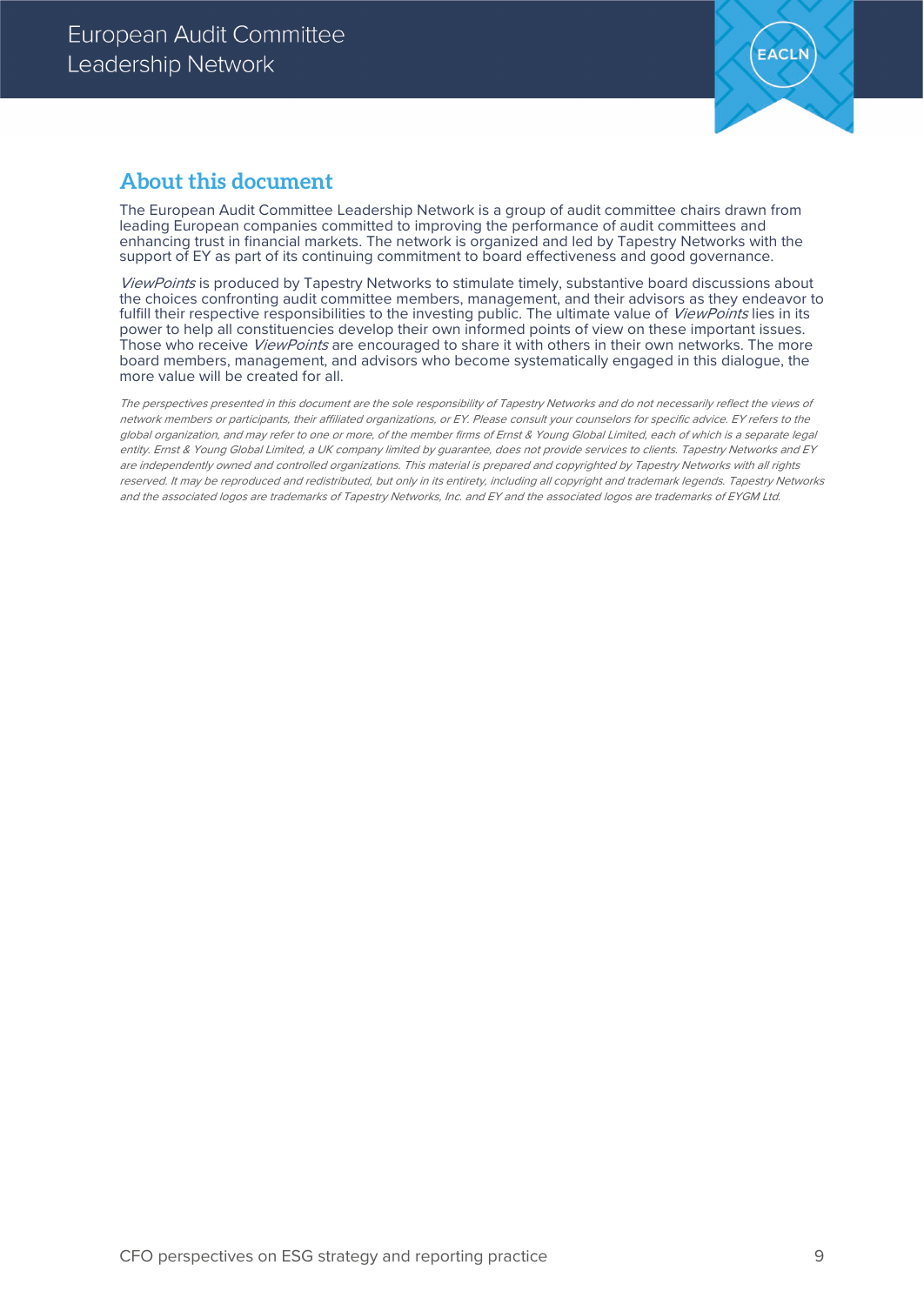

#### **About this document**

The European Audit Committee Leadership Network is a group of audit committee chairs drawn from leading European companies committed to improving the performance of audit committees and enhancing trust in financial markets. The network is organized and led by Tapestry Networks with the support of EY as part of its continuing commitment to board effectiveness and good governance.

ViewPoints is produced by Tapestry Networks to stimulate timely, substantive board discussions about the choices confronting audit committee members, management, and their advisors as they endeavor to fulfill their respective responsibilities to the investing public. The ultimate value of ViewPoints lies in its power to help all constituencies develop their own informed points of view on these important issues. Those who receive *ViewPoints* are encouraged to share it with others in their own networks. The more board members, management, and advisors who become systematically engaged in this dialogue, the more value will be created for all.

The perspectives presented in this document are the sole responsibility of Tapestry Networks and do not necessarily reflect the views of network members or participants, their affiliated organizations, or EY. Please consult your counselors for specific advice. EY refers to the global organization, and may refer to one or more, of the member firms of Ernst & Young Global Limited, each of which is a separate legal entity. Ernst & Young Global Limited, a UK company limited by guarantee, does not provide services to clients. Tapestry Networks and EY are independently owned and controlled organizations. This material is prepared and copyrighted by Tapestry Networks with all rights reserved. It may be reproduced and redistributed, but only in its entirety, including all copyright and trademark legends. Tapestry Networks and the associated logos are trademarks of Tapestry Networks, Inc. and EY and the associated logos are trademarks of EYGM Ltd.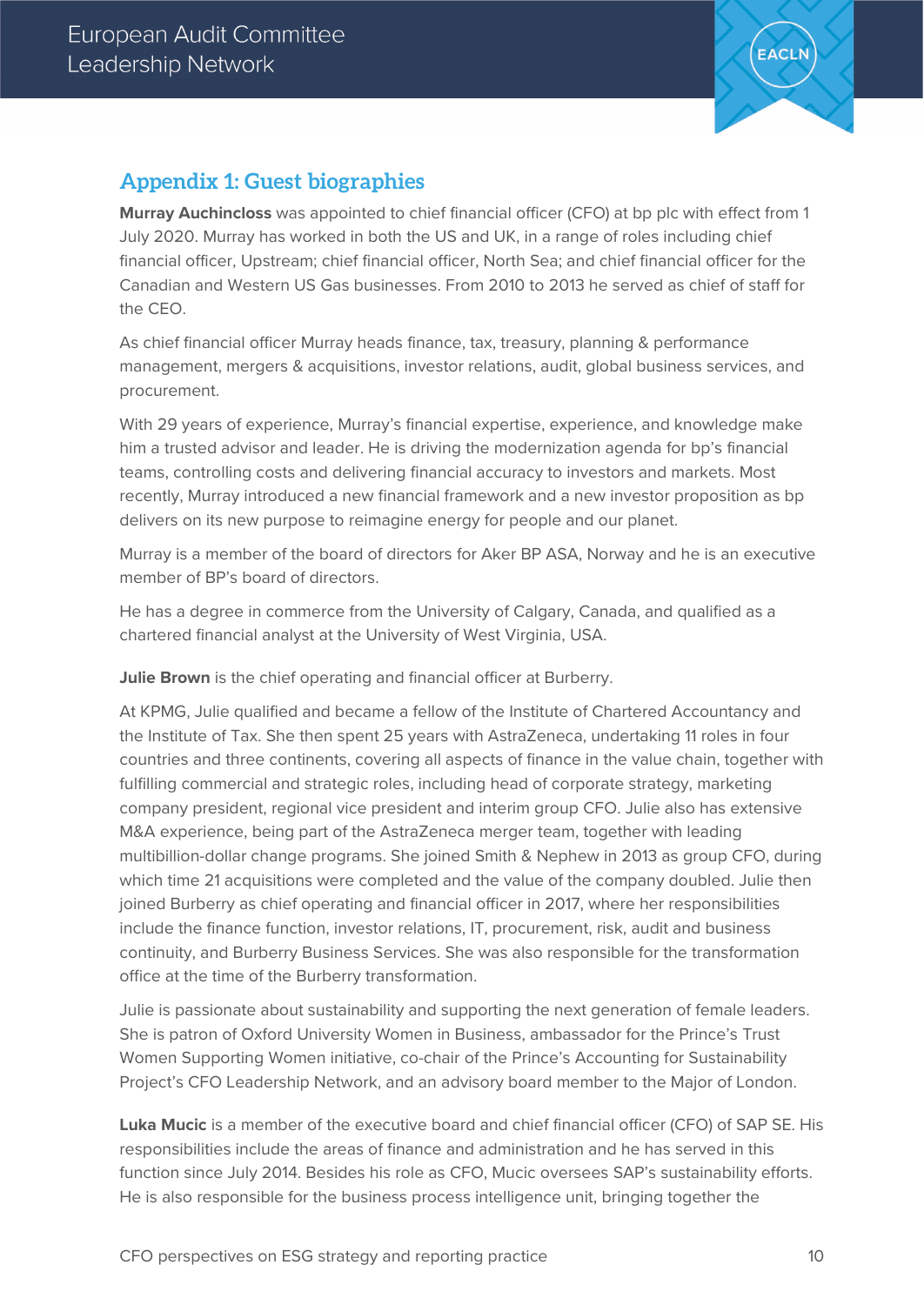

## **Appendix 1: Guest biographies**

**Murray Auchincloss** was appointed to chief financial officer (CFO) at bp plc with effect from 1 July 2020. Murray has worked in both the US and UK, in a range of roles including chief financial officer, Upstream; chief financial officer, North Sea; and chief financial officer for the Canadian and Western US Gas businesses. From 2010 to 2013 he served as chief of staff for the CEO.

As chief financial officer Murray heads finance, tax, treasury, planning & performance management, mergers & acquisitions, investor relations, audit, global business services, and procurement.

With 29 years of experience, Murray's financial expertise, experience, and knowledge make him a trusted advisor and leader. He is driving the modernization agenda for bp's financial teams, controlling costs and delivering financial accuracy to investors and markets. Most recently, Murray introduced a new financial framework and a new investor proposition as bp delivers on its new purpose to reimagine energy for people and our planet.

Murray is a member of the board of directors for Aker BP ASA, Norway and he is an executive member of BP's board of directors.

He has a degree in commerce from the University of Calgary, Canada, and qualified as a chartered financial analyst at the University of West Virginia, USA.

**Julie Brown** is the chief operating and financial officer at Burberry.

At KPMG, Julie qualified and became a fellow of the Institute of Chartered Accountancy and the Institute of Tax. She then spent 25 years with AstraZeneca, undertaking 11 roles in four countries and three continents, covering all aspects of finance in the value chain, together with fulfilling commercial and strategic roles, including head of corporate strategy, marketing company president, regional vice president and interim group CFO. Julie also has extensive M&A experience, being part of the AstraZeneca merger team, together with leading multibillion-dollar change programs. She joined Smith & Nephew in 2013 as group CFO, during which time 21 acquisitions were completed and the value of the company doubled. Julie then joined Burberry as chief operating and financial officer in 2017, where her responsibilities include the finance function, investor relations, IT, procurement, risk, audit and business continuity, and Burberry Business Services. She was also responsible for the transformation office at the time of the Burberry transformation.

Julie is passionate about sustainability and supporting the next generation of female leaders. She is patron of Oxford University Women in Business, ambassador for the Prince's Trust Women Supporting Women initiative, co-chair of the Prince's Accounting for Sustainability Project's CFO Leadership Network, and an advisory board member to the Major of London.

**Luka Mucic** is a member of the executive board and chief financial officer (CFO) of SAP SE. His responsibilities include the areas of finance and administration and he has served in this function since July 2014. Besides his role as CFO, Mucic oversees SAP's sustainability efforts. He is also responsible for the business process intelligence unit, bringing together the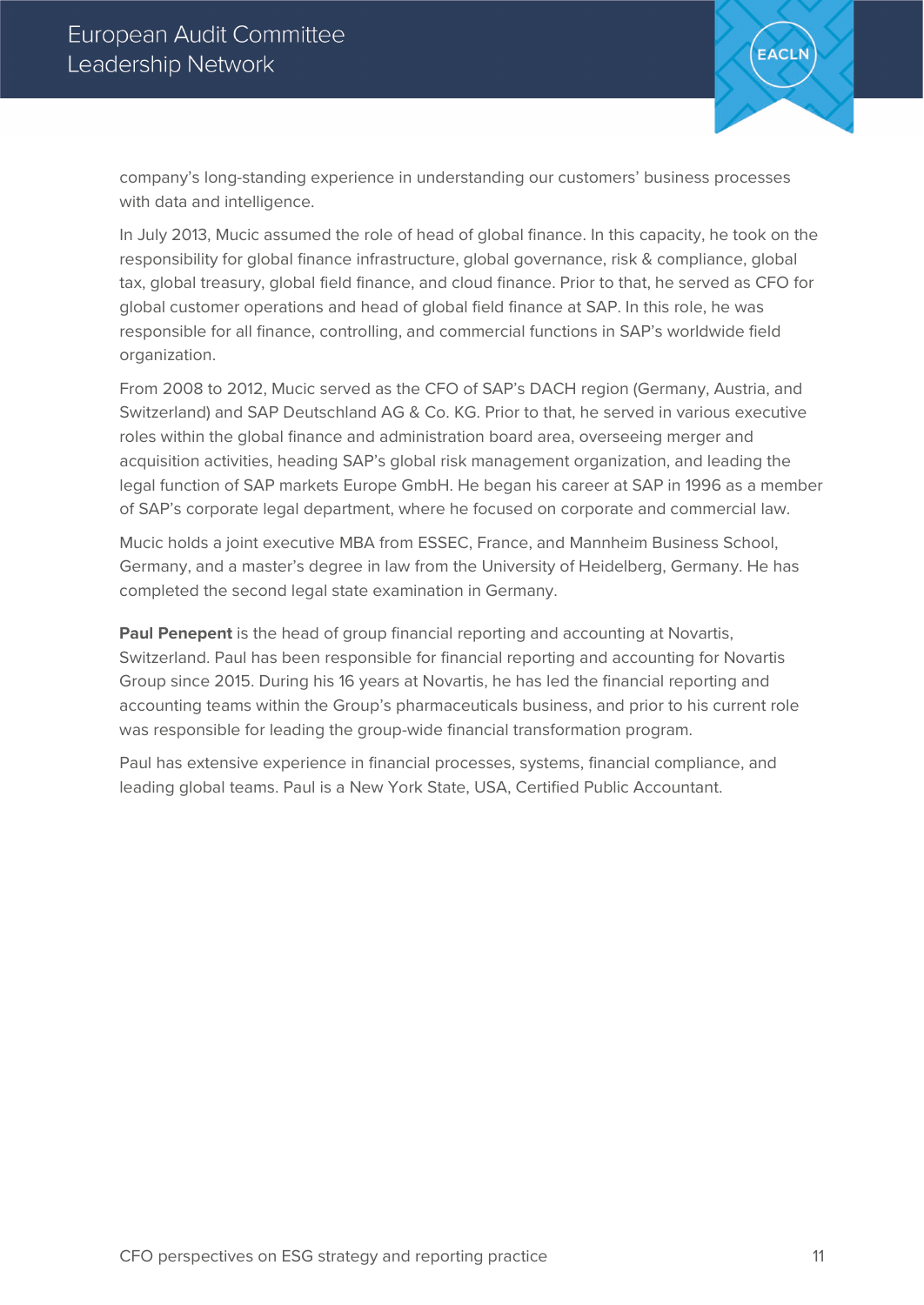

company's long-standing experience in understanding our customers' business processes with data and intelligence.

In July 2013, Mucic assumed the role of head of global finance. In this capacity, he took on the responsibility for global finance infrastructure, global governance, risk & compliance, global tax, global treasury, global field finance, and cloud finance. Prior to that, he served as CFO for global customer operations and head of global field finance at SAP. In this role, he was responsible for all finance, controlling, and commercial functions in SAP's worldwide field organization.

From 2008 to 2012, Mucic served as the CFO of SAP's DACH region (Germany, Austria, and Switzerland) and SAP Deutschland AG & Co. KG. Prior to that, he served in various executive roles within the global finance and administration board area, overseeing merger and acquisition activities, heading SAP's global risk management organization, and leading the legal function of SAP markets Europe GmbH. He began his career at SAP in 1996 as a member of SAP's corporate legal department, where he focused on corporate and commercial law.

Mucic holds a joint executive MBA from ESSEC, France, and Mannheim Business School, Germany, and a master's degree in law from the University of Heidelberg, Germany. He has completed the second legal state examination in Germany.

**Paul Penepent** is the head of group financial reporting and accounting at Novartis, Switzerland. Paul has been responsible for financial reporting and accounting for Novartis Group since 2015. During his 16 years at Novartis, he has led the financial reporting and accounting teams within the Group's pharmaceuticals business, and prior to his current role was responsible for leading the group-wide financial transformation program.

Paul has extensive experience in financial processes, systems, financial compliance, and leading global teams. Paul is a New York State, USA, Certified Public Accountant.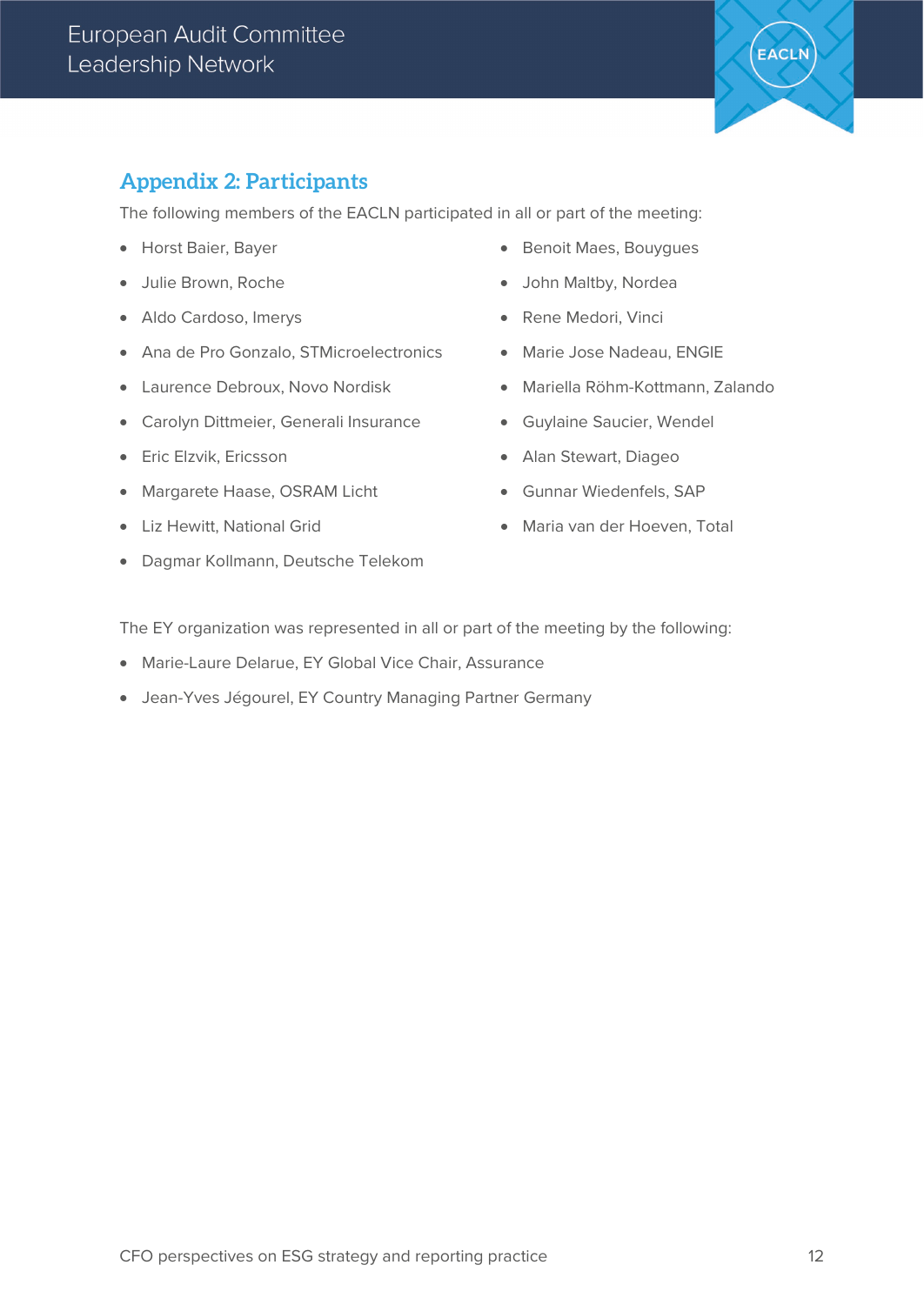

## **Appendix 2: Participants**

The following members of the EACLN participated in all or part of the meeting:

- Horst Baier, Bayer
- Julie Brown, Roche
- Aldo Cardoso, Imerys
- Ana de Pro Gonzalo, STMicroelectronics
- Laurence Debroux, Novo Nordisk
- Carolyn Dittmeier, Generali Insurance
- Eric Elzvik, Ericsson
- Margarete Haase, OSRAM Licht
- Liz Hewitt, National Grid
- Dagmar Kollmann, Deutsche Telekom
- Benoit Maes, Bouygues
- John Maltby, Nordea
- Rene Medori, Vinci
- Marie Jose Nadeau, ENGIE
	- Mariella Röhm-Kottmann, Zalando
	- Guylaine Saucier, Wendel
	- Alan Stewart, Diageo
	- Gunnar Wiedenfels, SAP
	- Maria van der Hoeven, Total

The EY organization was represented in all or part of the meeting by the following:

- Marie-Laure Delarue, EY Global Vice Chair, Assurance
- Jean-Yves Jégourel, EY Country Managing Partner Germany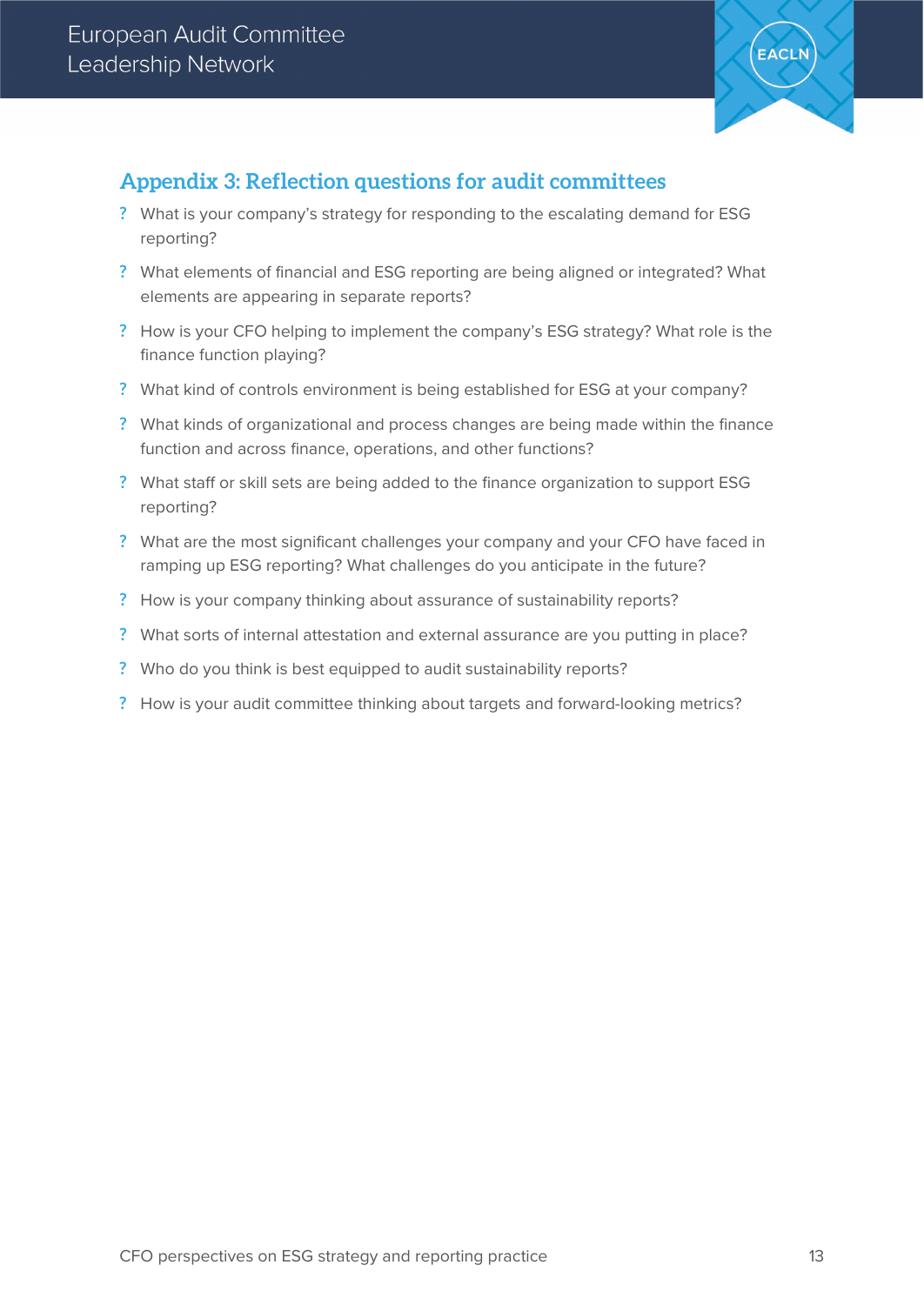

#### **Appendix 3: Reflection questions for audit committees**

- **?** What is your company's strategy for responding to the escalating demand for ESG reporting?
- **?** What elements of financial and ESG reporting are being aligned or integrated? What elements are appearing in separate reports?
- **?** How is your CFO helping to implement the company's ESG strategy? What role is the finance function playing?
- **?** What kind of controls environment is being established for ESG at your company?
- **?** What kinds of organizational and process changes are being made within the finance function and across finance, operations, and other functions?
- **?** What staff or skill sets are being added to the finance organization to support ESG reporting?
- **?** What are the most significant challenges your company and your CFO have faced in ramping up ESG reporting? What challenges do you anticipate in the future?
- **?** How is your company thinking about assurance of sustainability reports?
- **?** What sorts of internal attestation and external assurance are you putting in place?
- **?** Who do you think is best equipped to audit sustainability reports?
- **?** How is your audit committee thinking about targets and forward-looking metrics?